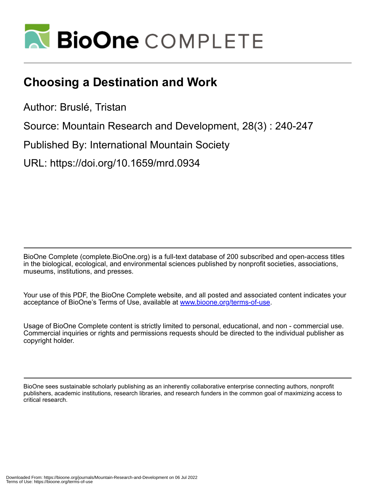

# **Choosing a Destination and Work**

Author: Bruslé, Tristan

Source: Mountain Research and Development, 28(3) : 240-247

Published By: International Mountain Society

URL: https://doi.org/10.1659/mrd.0934

BioOne Complete (complete.BioOne.org) is a full-text database of 200 subscribed and open-access titles in the biological, ecological, and environmental sciences published by nonprofit societies, associations, museums, institutions, and presses.

Your use of this PDF, the BioOne Complete website, and all posted and associated content indicates your acceptance of BioOne's Terms of Use, available at www.bioone.org/terms-of-use.

Usage of BioOne Complete content is strictly limited to personal, educational, and non - commercial use. Commercial inquiries or rights and permissions requests should be directed to the individual publisher as copyright holder.

BioOne sees sustainable scholarly publishing as an inherently collaborative enterprise connecting authors, nonprofit publishers, academic institutions, research libraries, and research funders in the common goal of maximizing access to critical research.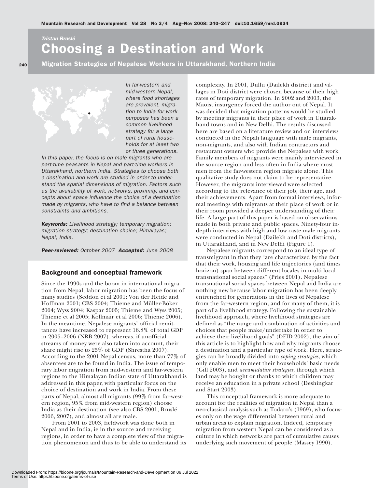# Choosing a Destination and Work Tristan Bruslé

Migration Strategies of Nepalese Workers in Uttarakhand, Northern India



240

In far-western and mid-western Nepal, where food shortages are prevalent, migration to India for work purposes has been a common livelihood strategy for a large part of rural households for at least two or three generations.

In this paper, the focus is on male migrants who are part-time peasants in Nepal and part-time workers in Uttarakhand, northern India. Strategies to choose both a destination and work are studied in order to understand the spatial dimensions of migration. Factors such as the availability of work, networks, proximity, and concepts about space influence the choice of a destination made by migrants, who have to find a balance between constraints and ambitions.

**Keywords:** Livelihood strategy; temporary migration; migration strategy; destination choice; Himalayas; Nepal; India.

Peer-reviewed: October 2007 Accepted: June 2008

#### Background and conceptual framework

Since the 1990s and the boom in international migration from Nepal, labor migration has been the focus of many studies (Seddon et al 2001; Von der Heide and Hoffman 2001; CBS 2004; Thieme and Müller-Böker 2004; Wyss 2004; Kaspar 2005; Thieme and Wyss 2005; Thieme et al 2005; Kollmair et al 2006; Thieme 2006). In the meantime, Nepalese migrants' official remittances have increased to represent 16.8% of total GDP in 2005–2006 (NRB 2007), whereas, if unofficial streams of money were also taken into account, their share might rise to 25% of GDP (Shrestha 2007). According to the 2001 Nepal census, more than 77% of absentees are to be found in India. The issue of temporary labor migration from mid-western and far-western regions to the Himalayan Indian state of Uttarakhand is addressed in this paper, with particular focus on the choice of destination and work in India. From these parts of Nepal, almost all migrants (99% from far-western region, 95% from mid-western region) choose India as their destination (see also CBS 2001; Bruslé 2006, 2007), and almost all are male.

From 2001 to 2003, fieldwork was done both in Nepal and in India, ie in the source and receiving regions, in order to have a complete view of the migration phenomenon and thus to be able to understand its complexity. In 2001, Dullu (Dailekh district) and villages in Doti district were chosen because of their high rates of temporary migration. In 2002 and 2003, the Maoist insurgency forced the author out of Nepal. It was decided that migration patterns would be studied by meeting migrants in their place of work in Uttarakhand towns and in New Delhi. The results discussed here are based on a literature review and on interviews conducted in the Nepali language with male migrants, non-migrants, and also with Indian contractors and restaurant owners who provide the Nepalese with work. Family members of migrants were mainly interviewed in the source region and less often in India where most men from the far-western region migrate alone. This qualitative study does not claim to be representative. However, the migrants interviewed were selected according to the relevance of their job, their age, and their achievements. Apart from formal interviews, informal meetings with migrants at their place of work or in their room provided a deeper understanding of their life. A large part of this paper is based on observations made in both private and public spaces. Ninety-four indepth interviews with high and low caste male migrants were conducted in Nepal (Dailekh and Doti districts), in Uttarakhand, and in New Delhi (Figure 1).

Nepalese migrants correspond to an ideal type of transmigrant in that they "are characterized by the fact that their work, housing and life trajectories (and times horizon) span between different locales in multi-local transnational social spaces" (Pries 2001). Nepalese transnational social spaces between Nepal and India are nothing new because labor migration has been deeply entrenched for generations in the lives of Nepalese from the far-western region, and for many of them, it is part of a livelihood strategy. Following the sustainable livelihood approach, where livelihood strategies are defined as "the range and combination of activities and choices that people make/undertake in order to achieve their livelihood goals" (DFID 2002), the aim of this article is to highlight how and why migrants choose a destination and a particular type of work. Here, strategies can be broadly divided into *coping strategies*, which only enable men to meet their households' basic needs (Gill 2003), and *accumulative strategies*, through which land may be bought or thanks to which children may receive an education in a private school (Deshingkar and Start 2003).

This conceptual framework is more adequate to account for the realities of migration in Nepal than a neo-classical analysis such as Todaro's (1969), who focuses only on the wage differential between rural and urban areas to explain migration. Indeed, temporary migration from western Nepal can be considered as a culture in which networks are part of cumulative causes underlying such movement of people (Massey 1990).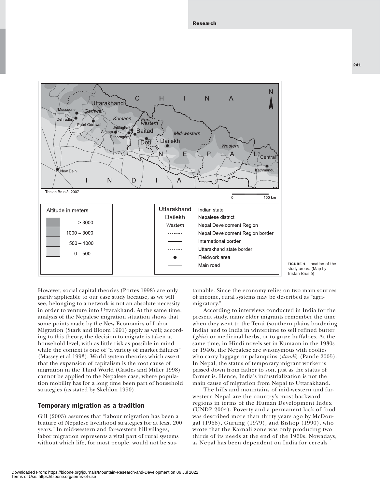

FIGURE 1 Location of the study areas. (Map by Tristan Bruslé)

However, social capital theories (Portes 1998) are only partly applicable to our case study because, as we will see, belonging to a network is not an absolute necessity in order to venture into Uttarakhand. At the same time, analysis of the Nepalese migration situation shows that some points made by the New Economics of Labor Migration (Stark and Bloom 1991) apply as well; according to this theory, the decision to migrate is taken at household level, with as little risk as possible in mind while the context is one of "a variety of market failures" (Massey et al 1993). World system theories which assert that the expansion of capitalism is the root cause of migration in the Third World (Castles and Miller 1998) cannot be applied to the Nepalese case, where population mobility has for a long time been part of household strategies (as stated by Skeldon 1990).

## Temporary migration as a tradition

Gill (2003) assumes that "labour migration has been a feature of Nepalese livelihood strategies for at least 200 years." In mid-western and far-western hill villages, labor migration represents a vital part of rural systems without which life, for most people, would not be sustainable. Since the economy relies on two main sources of income, rural systems may be described as "agrimigratory."

According to interviews conducted in India for the present study, many elder migrants remember the time when they went to the Terai (southern plains bordering India) and to India in wintertime to sell refined butter (*ghiu*) or medicinal herbs, or to graze buffaloes. At the same time, in Hindi novels set in Kumaon in the 1930s or 1940s, the Nepalese are synonymous with coolies who carry luggage or palanquins (*dandi*) (Pande 2005). In Nepal, the status of temporary migrant worker is passed down from father to son, just as the status of farmer is. Hence, India's industrialization is not the main cause of migration from Nepal to Uttarakhand.

The hills and mountains of mid-western and farwestern Nepal are the country's most backward regions in terms of the Human Development Index (UNDP 2004). Poverty and a permanent lack of food was described more than thirty years ago by McDougal (1968), Gurung (1979), and Bishop (1990), who wrote that the Karnali zone was only producing two thirds of its needs at the end of the 1960s. Nowadays, as Nepal has been dependent on India for cereals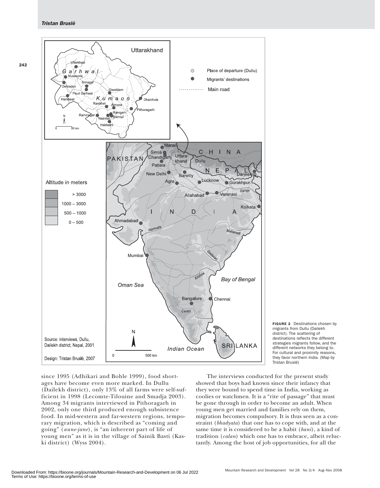242



FIGURE 2 Destinations chosen by migrants from Dullu (Dailekh district). The scattering of destinations reflects the different strategies migrants follow, and the different networks they belong to. For cultural and proximity reasons, they favor northern India. (Map by Tristan Bruslé)

since 1995 (Adhikari and Bohle 1999), food shortages have become even more marked. In Dullu (Dailekh district), only 13% of all farms were self-sufficient in 1998 (Lecomte-Tilouine and Smadja 2003). Among 34 migrants interviewed in Pithoragarh in 2002, only one third produced enough subsistence food. In mid-western and far-western regions, temporary migration, which is described as "coming and going" (*aune-jane*), is "an inherent part of life of young men" as it is in the village of Sainik Basti (Kaski district) (Wyss 2004).

The interviews conducted for the present study showed that boys had known since their infancy that they were bound to spend time in India, working as coolies or watchmen. It is a "rite of passage" that must be gone through in order to become an adult. When young men get married and families rely on them, migration becomes compulsory. It is thus seen as a constraint (*bhadyata*) that one has to cope with, and at the same time it is considered to be a habit (*bani*), a kind of tradition (*calan*) which one has to embrace, albeit reluctantly. Among the host of job opportunities, for all the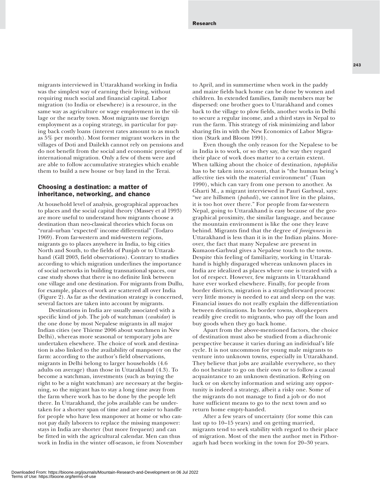migrants interviewed in Uttarakhand working in India was the simplest way of earning their living, without requiring much social and financial capital. Labor migration (to India or elsewhere) is a resource, in the same way as agriculture or wage employment in the village or the nearby town. Most migrants use foreign employment as a coping strategy, in particular for paying back costly loans (interest rates amount to as much as 5% per month). Most former migrant workers in the villages of Doti and Dailekh cannot rely on pensions and do not benefit from the social and economic prestige of international migration. Only a few of them were and are able to follow accumulative strategies which enable them to build a new house or buy land in the Terai.

# Choosing a destination: a matter of inheritance, networking, and chance

At household level of analysis, geographical approaches to places and the social capital theory (Massey et al 1993) are more useful to understand how migrants choose a destination than neo-classical theories which focus on "rural–urban 'expected' income differential" (Todaro 1969). From far-western and mid-western regions, migrants go to places anywhere in India, to big cities North and South, to the fields of Punjab or to Uttarakhand (Gill 2003, field observations). Contrary to studies according to which migration underlines the importance of social networks in building transnational spaces, our case study shows that there is no definite link between one village and one destination. For migrants from Dullu, for example, places of work are scattered all over India (Figure 2). As far as the destination strategy is concerned, several factors are taken into account by migrants.

Destinations in India are usually associated with a specific kind of job. The job of watchman (*caukidar*) is the one done by most Nepalese migrants in all major Indian cities (see Thieme 2006 about watchmen in New Delhi), whereas more seasonal or temporary jobs are undertaken elsewhere. The choice of work and destination is also linked to the availability of manpower on the farm: according to the author's field observations, migrants in Delhi belong to larger households (4.6 adults on average) than those in Uttarakhand (4.3). To become a watchman, investments (such as buying the right to be a night watchman) are necessary at the beginning, so the migrant has to stay a long time away from the farm where work has to be done by the people left there. In Uttarakhand, the jobs available can be undertaken for a shorter span of time and are easier to handle for people who have less manpower at home or who cannot pay daily laborers to replace the missing manpower: stays in India are shorter (but more frequent) and can be fitted in with the agricultural calendar. Men can thus work in India in the winter off-season, ie from November

to April, and in summertime when work in the paddy and maize fields back home can be done by women and children. In extended families, family members may be dispersed: one brother goes to Uttarakhand and comes back to the village to plow fields, another works in Delhi to secure a regular income, and a third stays in Nepal to run the farm. This strategy of risk minimizing and labor sharing fits in with the New Economics of Labor Migration (Stark and Bloom 1991).

Even though the only reason for the Nepalese to be in India is to work, or so they say, the way they regard their place of work does matter to a certain extent. When talking about the choice of destination, *topophilia* has to be taken into account, that is "the human being's affective ties with the material environment" (Tuan 1990), which can vary from one person to another. As Gharti M., a migrant interviewed in Pauri Garhwal, says: "we are hillsmen (*pahadi*), we cannot live in the plains, it is too hot over there." For people from far-western Nepal, going to Uttarakhand is easy because of the geographical proximity, the similar language, and because the mountain environment is like the one they leave behind. Migrants find that the degree of *foreignness* in Uttarakhand is less than it is in the Indian plains. Moreover, the fact that many Nepalese are present in Kumaon-Garhwal gives a Nepalese touch to the towns. Despite this feeling of familiarity, working in Uttarakhand is highly disparaged whereas unknown places in India are idealized as places where one is treated with a lot of respect. However, few migrants in Uttarakhand have ever worked elsewhere. Finally, for people from border districts, migration is a straightforward process: very little money is needed to eat and sleep on the way. Financial issues do not really explain the differentiation between destinations. In border towns, shopkeepers readily give credit to migrants, who pay off the loan and buy goods when they go back home.

Apart from the above-mentioned factors, the choice of destination must also be studied from a diachronic perspective because it varies during an individual's life cycle. It is not uncommon for young male migrants to venture into unknown towns, especially in Uttarakhand. They believe that jobs are available everywhere, so they do not hesitate to go on their own or to follow a casual acquaintance to an unknown destination. Relying on luck or on sketchy information and seizing any opportunity is indeed a strategy, albeit a risky one. Some of the migrants do not manage to find a job or do not have sufficient means to go to the next town and so return home empty-handed.

After a few years of uncertainty (for some this can last up to 10–15 years) and on getting married, migrants tend to seek stability with regard to their place of migration. Most of the men the author met in Pithoragarh had been working in the town for 20–30 years.

243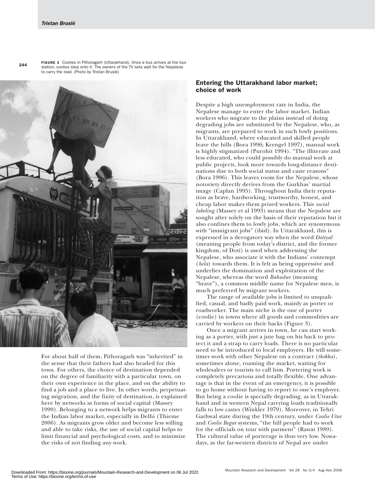FIGURE 3 Coolies in Pithoragarh (Uttarakhand). Once a bus arrives at the bus station, coolies step onto it. The owners of the TV sets wait for the Nepalese to carry the load. (Photo by Tristan Bruslé)



For about half of them, Pithoragarh was "inherited" in the sense that their fathers had also headed for this town. For others, the choice of destination depended on the degree of familiarity with a particular town, on their own experience in the place, and on the ability to find a job and a place to live. In other words, perpetuating migration, and the fixity of destination, is explained here by networks as forms of social capital (Massey 1990). Belonging to a network helps migrants to enter the Indian labor market, especially in Delhi (Thieme 2006). As migrants grow older and become less willing and able to take risks, the use of social capital helps to limit financial and psychological costs, and to minimize the risks of not finding any work.

### Entering the Uttarakhand labor market; choice of work

Despite a high unemployment rate in India, the Nepalese manage to enter the labor market. Indian workers who migrate to the plains instead of doing degrading jobs are substituted by the Nepalese, who, as migrants, are prepared to work in such lowly positions. In Uttarakhand, where educated and skilled people leave the hills (Bora 1996; Krengel 1997), manual work is highly stigmatized (Purohit 1994). "The illiterate and less educated, who could possibly do manual work at public projects, look more towards long-distance destinations due to both social status and caste reasons" (Bora 1996). This leaves room for the Nepalese, whose notoriety directly derives from the Gurkhas' martial image (Caplan 1995). Throughout India their reputation as brave, hardworking, trustworthy, honest, and cheap labor makes them prized workers. This *social labeling* (Massey et al 1993) means that the Nepalese are sought after solely on the basis of their reputation but it also confines them to lowly jobs, which are synonymous with "immigrant jobs" (ibid). In Uttarakhand, this is expressed in a derogatory way when the word *Dotiyal* (meaning people from today's district, and the former kingdom, of Doti) is used when addressing the Nepalese, who associate it with the Indians' contempt (*hela*) towards them. It is felt as being oppressive and underlies the domination and exploitation of the Nepalese, whereas the word *Bahadur* (meaning "brave"), a common middle name for Nepalese men, is much preferred by migrant workers.

The range of available jobs is limited to unqualified, casual, and badly paid work, mainly as porter or roadworker. The main niche is the one of porter (coolie) in towns where all goods and commodities are carried by workers on their backs (Figure 3).

Once a migrant arrives in town, he can start working as a porter, with just a jute bag on his back to protect it and a strap to carry loads. There is no particular need to be introduced to local employers. He will sometimes work with other Nepalese on a contract (*thekka*), sometimes alone, roaming the market, waiting for wholesalers or tourists to call him. Portering work is completely precarious and totally flexible. One advantage is that in the event of an emergency, it is possible to go home without having to report to one's employer. But being a coolie is specially degrading, as in Uttarakhand and in western Nepal carrying loads traditionally falls to low castes (Winkler 1979). Moreover, in Tehri Garhwal state during the 19th century, under *Coolie Utar* and *Coolie Begar* systems, "the hill people had to work for the officials on tour with payment" (Rawat 1989). The cultural value of porterage is thus very low. Nowadays, as the far-western districts of Nepal are under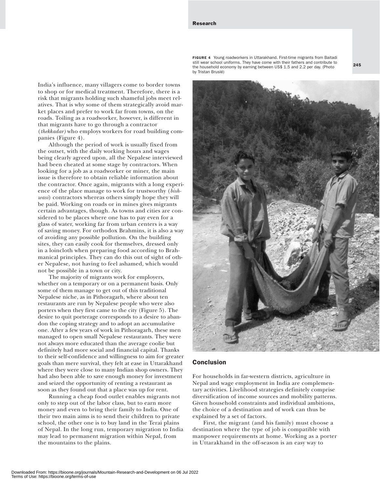India's influence, many villagers come to border towns to shop or for medical treatment. Therefore, there is a risk that migrants holding such shameful jobs meet relatives. That is why some of them strategically avoid market places and prefer to work far from towns, on the roads. Toiling as a roadworker, however, is different in that migrants have to go through a contractor (*thekkadar)* who employs workers for road building companies (Figure 4).

Although the period of work is usually fixed from the outset, with the daily working hours and wages being clearly agreed upon, all the Nepalese interviewed had been cheated at some stage by contractors. When looking for a job as a roadworker or miner, the main issue is therefore to obtain reliable information about the contractor. Once again, migrants with a long experience of the place manage to work for trustworthy (*bishwasi*) contractors whereas others simply hope they will be paid. Working on roads or in mines gives migrants certain advantages, though. As towns and cities are considered to be places where one has to pay even for a glass of water, working far from urban centers is a way of saving money. For orthodox Brahmins, it is also a way of avoiding any possible pollution. On the building sites, they can easily cook for themselves, dressed only in a loincloth when preparing food according to Brahmanical principles. They can do this out of sight of other Nepalese, not having to feel ashamed, which would not be possible in a town or city.

The majority of migrants work for employers, whether on a temporary or on a permanent basis. Only some of them manage to get out of this traditional Nepalese niche, as in Pithoragarh, where about ten restaurants are run by Nepalese people who were also porters when they first came to the city (Figure 5). The desire to quit porterage corresponds to a desire to abandon the coping strategy and to adopt an accumulative one. After a few years of work in Pithoragarh, these men managed to open small Nepalese restaurants. They were not always more educated than the average coolie but definitely had more social and financial capital. Thanks to their self-confidence and willingness to aim for greater goals than mere survival, they felt at ease in Uttarakhand where they were close to many Indian shop owners. They had also been able to save enough money for investment and seized the opportunity of renting a restaurant as soon as they found out that a place was up for rent.

Running a cheap food outlet enables migrants not only to step out of the labor class, but to earn more money and even to bring their family to India. One of their two main aims is to send their children to private school, the other one is to buy land in the Terai plains of Nepal. In the long run, temporary migration to India may lead to permanent migration within Nepal, from the mountains to the plains.

FIGURE 4 Young roadworkers in Uttarakhand. First-time migrants from Baitadi still wear school uniforms. They have come with their fathers and contribute to the household economy by earning between US\$ 1.5 and 2.2 per day. (Photo by Tristan Bruslé)



For households in far-western districts, agriculture in Nepal and wage employment in India are complementary activities. Livelihood strategies definitely comprise diversification of income sources and mobility patterns. Given household constraints and individual ambitions, the choice of a destination and of work can thus be explained by a set of factors.

First, the migrant (and his family) must choose a destination where the type of job is compatible with manpower requirements at home. Working as a porter in Uttarakhand in the off-season is an easy way to

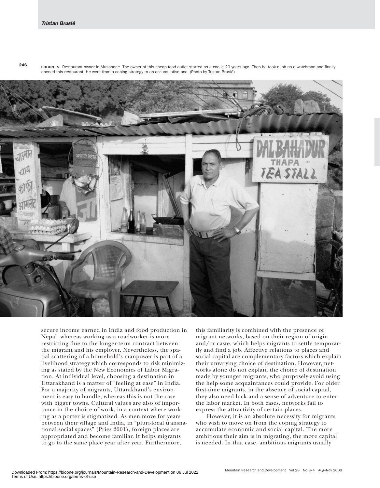246

FIGURE 5 Restaurant owner in Mussoorie. The owner of this cheap food outlet started as a coolie 20 years ago. Then he took a job as a watchman and finally opened this restaurant. He went from a coping strategy to an accumulative one. (Photo by Tristan Bruslé)



secure income earned in India and food production in Nepal, whereas working as a roadworker is more restricting due to the longer-term contract between the migrant and his employer. Nevertheless, the spatial scattering of a household's manpower is part of a livelihood strategy which corresponds to risk minimizing as stated by the New Economics of Labor Migration. At individual level, choosing a destination in Uttarakhand is a matter of "feeling at ease" in India. For a majority of migrants, Uttarakhand's environment is easy to handle, whereas this is not the case with bigger towns. Cultural values are also of importance in the choice of work, in a context where working as a porter is stigmatized. As men move for years between their village and India, in "pluri-local transnational social spaces" (Pries 2001), foreign places are appropriated and become familiar. It helps migrants to go to the same place year after year. Furthermore,

this familiarity is combined with the presence of migrant networks, based on their region of origin and/or caste, which helps migrants to settle temporarily and find a job. Affective relations to places and social capital are complementary factors which explain their unvarying choice of destination. However, networks alone do not explain the choice of destination made by younger migrants, who purposely avoid using the help some acquaintances could provide. For older first-time migrants, in the absence of social capital, they also need luck and a sense of adventure to enter the labor market. In both cases, networks fail to express the attractivity of certain places.

However, it is an absolute necessity for migrants who wish to move on from the coping strategy to accumulate economic and social capital. The more ambitious their aim is in migrating, the more capital is needed. In that case, ambitious migrants usually